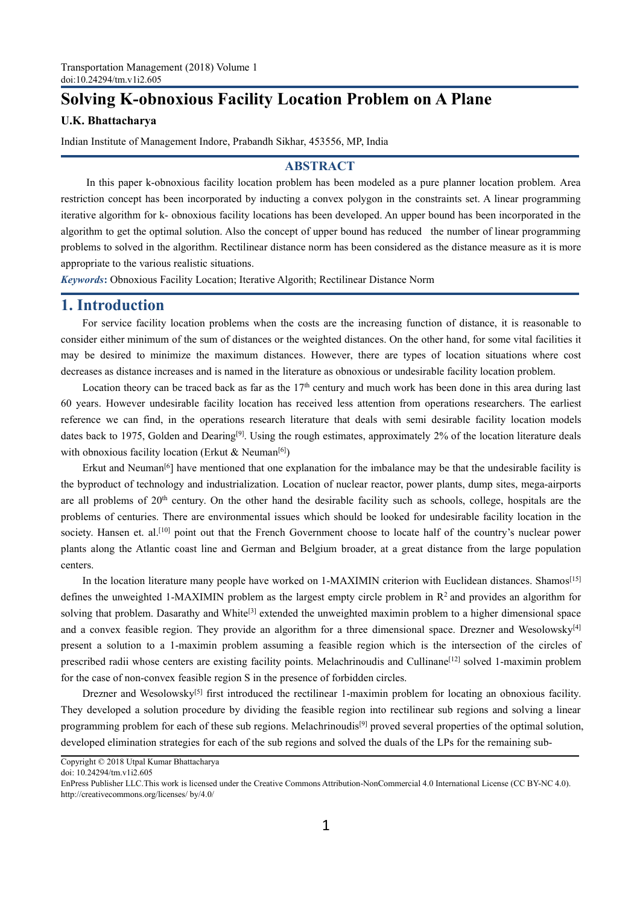# Transportation Management (2018) Volume 1<br>doi:10.24294/tm.v1i2.605<br>**Solving K-obnoxious Facility Location Problem** Transportation Management (2018) Volume 1<br> **Solving K-obnoxious Facility Location Problem on A Plane**<br> **U.K. Bhattacharya**<br>
Indian Institute of Management Indore, Prabandh Sikhar, 453556, MP, India<br> **ABSTRACT**

### **ABSTRACT**

Transportation Management (2018) Volume 1<br>
doi:10.24294/tm.v1i2.605<br> **Solving K-obnoxious Facility Location Problem on A Plane**<br>
U.K. Bhattacharya<br>
Indian Institute of Management Indore, Prabandh Sikhar, 453556, MP, India<br> portation Management (2018) Volume 1<br>
24294/tm.v.1i2.605<br> **Ving K-obnoxious Facility Location Problem on A Plane**<br> **Bhattacharya**<br>
In this paper k-obnoxious facility location problem has been modeled as a pure planner loca Transportation Management (2018) Volume 1<br>
doi:10.24294/tm.v1i2.605<br> **Solving K-obnoxious Facility Location Problem on A Plane**<br>
U.K. Bhattacharya<br>
Indian Institute of Management Indore, Prabandh Sikhar, 453556, MP, India Transportation Management (2018) Volume 1<br>
doi:10.24294/tm.v1i2.605<br> **Solving K-obnoxious Facility Location Problem on A Plane**<br>
U.K. Bhattacharya<br>
Indian Institute of Management Indore, Prabandh Sikhar, 453556, MP, India **Solving K-obnoxious Facility Location Problem on A Plane**<br> **Solving K-obnoxious Facility Location Problem on A Plane**<br>
U.K. Bhattacharya<br>
In this paper k-obnoxious facility location problem has been modeled as a pure pla **Solving K-obnoxious Facility Location Problem on A Plane**<br>
U.K. Bhattacharya<br>
In Institute of Management Indore, Prabandh Sikhar, 453556, MP, India<br> **ABSTRACT**<br>
In this paper k-obnoxious facility location problem has been U.K. Bhattacharya<br>
Indian Institute of Management Indore, Prabandh Sikhar, 453556, MP, In<br>
ABSTRACT<br>
In this paper k-obnoxious facility location problem has been mod<br>
restriction concept has been incorporated by inducting **EXECT**<br>
In this paper k-obnoxious facility location problem has been modeled as a pure planner location problem. Area<br> **ABSTRACT**<br>
In this paper k-obnoxious facility location problem has been modeled as a pure planner loc Transportation Management (2018) Volume 1<br>
doi:10.24294/m.v.1i2.605<br> **Solving K-obnoxious Facility Locatio**<br> **I.K. Bhattacharya**<br>
In this paper k-obnoxious facility location problem has<br>
restriction concept has been incorp **ABSTRACT**<br>
In this paper k-obnoxious facility location problem has been modeled as a pure planner location problem. Area<br>
ction concept has been incorporated by inducting a convex polygon in the constraints set. A linear In this paper k-obnoxious facility location problem has been modeled as a pure planner location problem. Area restriction concept has been incorporated by inducting a convex polygon in the constraints set. A linear progra restriction concept has been incorporated by inducting a convex polygon in the constraints set. A linear programming<br>iterative algorithm for k- obnoxious facility locations has been developed. An upper bound has been incor

derative algorithm for k- obnoxious facility locations has been developed. An upper bound has been incorporated in the algorithm to get the optimal solution. Also the concept of upper bound has reduced the number of linear ithm to get the optimal solution. Also the concept of upper bound has reduced the number of linear programming<br>lems to solved in the algorithm. Rectilinear distance norm has been considered as the distance measure as it i

problems to solved in the algorithm. Rectilinear distance norm has been considered as the distance measure as it is more<br>appropriate to the various realistic situations.<br> **A**<br> **1. Introduction**<br>
For service facility locat appropriate to the various realistic situations.<br> *Keywords:* Obnoxious Facility Location; Iterative Algorith; Rectilinear Distance Norm<br> **1. Introduction**<br>
For service facility location problems when the costs are the in *Keywords*: Obnoxious Facility Location; Iterative Algorith; Rectilinear Distance Norm<br> **1. Introduction**<br>
For service facility location problems when the costs are the increasing function of distance, it is reasonable to **1. Introduction**<br>For service facility location problems when the costs are the increasing<br>consider either minimum of the sum of distances or the weighted distances. On t<br>may be desired to minimize the maximum distances. **Example 1 Example 1 Example 1 Example 1 Example for String 1 C Example 1 C Example to** For service facility location problems when the costs are the increasing function of distance, it is reasonable to be For service atemy joctation proteins when the costs are the incleasing function of ustance, it is reasonable considered interminium of the sum of distances of the veighted distances. On the other hand, for some vial facil

consider einer imminio or using the maximum is the weighted usades. On the oneir iant, on some varial are almost or decreases as distance increases and is named in the literature as obnoxious or undesirable facility locat may be destroted of members of communities. Thowever, there are types of location should should be decrease and is named in the literature as obnoxious or undesirable facility location throblem.<br>
Location theory can be tra societies as ustance interests and is in aime include as conoxious of unteshable etaility incotion.<br>
Location theory can be traced back as far as the 17<sup>th</sup> century and much work has been done in this area during last<br>
of Exercise the tracts and as the and German and Belgium broader, at a great distances. The earlier of by ears. However undesirable facility location has received less attention from operations researchers. The earlier refer centers. Example we can interature many people have worked on 1-MAXIMIN criterion with Relation siterature index to 1975, Golden and Dearling<sup>for</sup>. Using the rough estimates, approximately 2% of the location literature deals bohox antes back to 1977, Gouen and Dealing<sup>12</sup>. Using in ough estimates, approximatery 270 of the focation flerature deats<br>with obnoxions facility location (Erkut & Neuman<sup>161</sup><sub>0</sub>)<br>Erkut and Neuman<sup>16</sup>] have mentioned that one whil obtuvious activy location (Extended that de Neuman<sup>ta</sup>) Erkelt and Neumant<sup>5</sup> (Figure and Figure and Figure and the mediomed that one explanation for the imbalance may be that the undesirable facility is the byroduct

Extra and veutram- J nave interiories units one expansation for the interior, power plans, dump sites, measure actiny is<br>the byproduct of technology and industrialization. Location of nuclear reactor, power plans, dump si me of the content a solution to a 1-maximin problem assuming a feasible facility such problem solones, inega-appoising the are all problems of 20<sup>th</sup> centuries. There are environmental issues which should be looked for und are an proofeling of 20 century. On the other hand the destatote atempty such as schoots, conege, nospitals are the problems of centuries. There are environment issues which should be looked for undesirable facility locat prooferis of centuries. There are environmentar issues winch should be looked tot undestance facting local<br>society. Hansen et. al.<sup>[10]</sup> point out that the French Government choose to locate half of the country's nucle<br>pla Transier et. an.<sup>2</sup> - point out that the French Government choose to locate hart of the country's intereal power<br>s along the Atlantic coast line and German and Belgium broader, at a great distance from the large population plants and the coating the Attantic coast line and German and Bergium product, at a great distance from the farge population<br>certies:<br>In the location literature many people have worked on 1-MAXIMIN criterion with Euclidean Figures 1.1 The location literature many people have worked on 1-MAXIMIN criterion with Euclidean distances. Shamos<sup>[15]</sup><br>defines the unweighted 1-MAXIMIN problem as the largest empty circle problem in  $R^2$  and provides In the location increative many people have worked on 1-NIAXININY circlic problem in R2 activeration strategies the annual strategies for each of the sub regions of the subsequent in a solved samely control with problem in

doi: 10.24294/tm.v1i2.605

Copyright © 2018 Utpal Kumar Bhattacharya

EnPress Publisher LLC.This work is licensed under the Creative Commons Attribution-NonCommercial 4.0 International License (CC BY-NC 4.0). http://creativecommons.org/licenses/ by/4.0/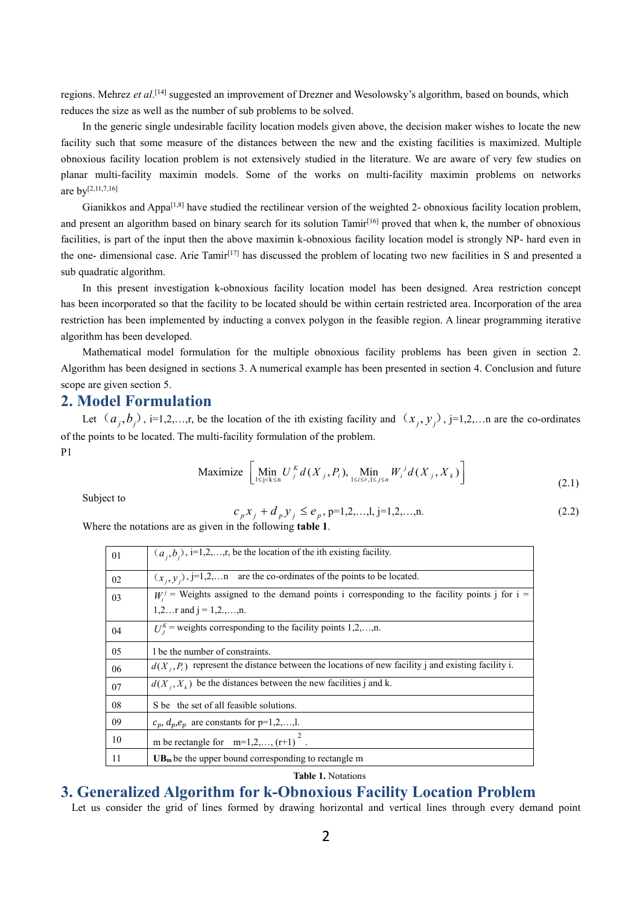regions. Mehrez *et al*. [14] suggested an improvement of Drezner and Wesolowsky's algorithm, based on bounds, which reduces the size aswell as the number of sub problems to be solved.

In the generic single undesirable facility location models given above, the decision maker wishes to locate the new facility such that some measure of the distances between the new and the existing facilities is maximized. Multiple obnoxious facility location problem is not extensively studied in the literature. We are aware of very few studies on planar multi-facility maximin models. Some of the works on multi-facility maximin problems on networks are by [2,11,7,16]

Gianikkos and Appa<sup>[1,8]</sup> have studied the rectilinear version of the weighted 2- obnoxious facility location problem, and present an algorithm based on binary search for its solution Tamir [16] proved that when k, the number of obnoxious facilities, is part of the input then the above maximin k-obnoxious facility location model is strongly NP- hard even in the one- dimensional case. Arie Tamir [17] has discussed the problem of locating two new facilities in S and presented a sub quadratic algorithm.

In this present investigation k-obnoxious facility location model has been designed. Area restriction concept has been incorporated so that the facility to be located should be within certain restricted area. Incorporation of the area restriction has been implemented by inducting a convex polygon in the feasible region. A linear programming iterative algorithm has been developed.

Mathematical model formulation for the multiple obnoxious facility problems has been given in section 2.<br>Algorithm has been designed in sections 3. A numerical example has been presented in section 4. Conclusion and future scope are given section 5.

# **2. Model Formulation**

Let  $(a_i, b_i)$ , i=1,2,…,r, be the location of the ith existing facility and  $(x_j, y_j)$ , j=1,2,…n are the co-ordinates of the points to be located. The multi-facility formulation of the problem. P1 and the state of the state of the state of the state of the state of the state of the state of the state of the state of the state of the state of the state of the state of the state of the state of the state of the sta

$$
\text{Maximize } \left[ \min_{1 \le j < k \le n} U_j^k d(X_j, P_i), \min_{1 \le i \le r, 1 \le j \le n} W_i^j d(X_j, X_k) \right] \tag{2.1}
$$

Subject to

$$
c_p x_j + d_p y_j \le e_p, p=1,2,...,l, j=1,2,...,n.
$$
\n(2.2)

Where the notations are asgiven in the following **table 1**.

| 01 | $(a_i, b_i)$ , i=1,2,,r, be the location of the ith existing facility.                                |
|----|-------------------------------------------------------------------------------------------------------|
| 02 | $(x_i, y_i)$ , j=1,2,n are the co-ordinates of the points to be located.                              |
| 03 | $W_i^j$ = Weights assigned to the demand points i corresponding to the facility points j for i =      |
|    | 1,2 r and $j = 1, 2, , n$ .                                                                           |
| 04 | $U_i^k$ = weights corresponding to the facility points 1,2,,n.                                        |
| 05 | 1 be the number of constraints.                                                                       |
| 06 | $d(X_i, P_i)$ represent the distance between the locations of new facility j and existing facility i. |
| 07 | $d(X_i, X_k)$ be the distances between the new facilities j and k.                                    |
| 08 | S be the set of all feasible solutions.                                                               |
| 09 | $c_p, d_p, e_p$ are constants for p=1,2,,l.                                                           |
| 10 | m be rectangle for $m=1,2,,(r+1)^{2}$ .                                                               |
| 11 | $UBm$ be the upper bound corresponding to rectangle m                                                 |

**Table 1.** Notations

# **3. Generalized Algorithm for k-Obnoxious Facility Location Problem**

Let us consider the grid of lines formed by drawing horizontal and vertical lines through every demand point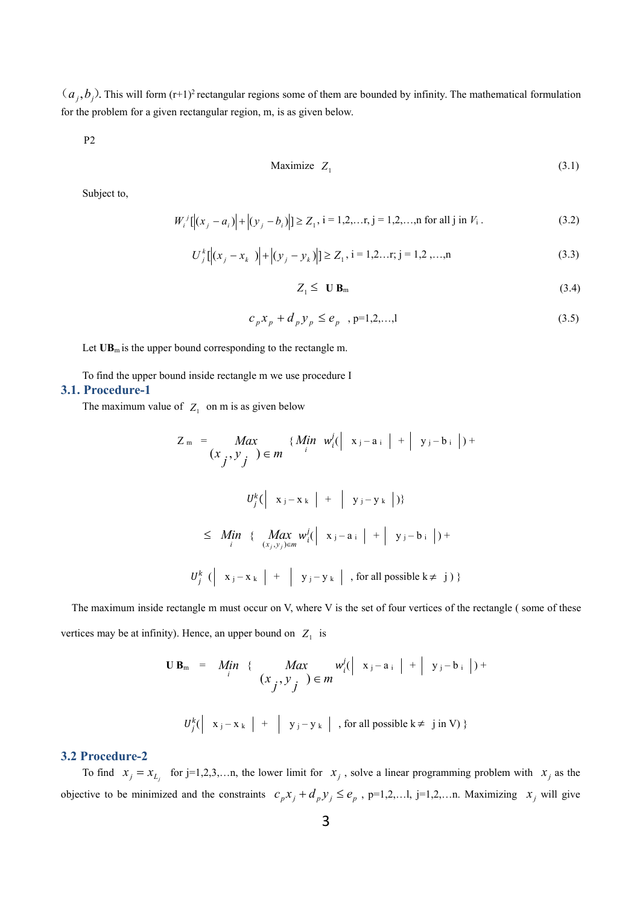$(a_j, b_j)$ . This will form  $(r+1)^2$  rectangular regions some of them are bounded by infinity. The mathematical formulation for the problem for a given rectangular region, m, is as given below.

P2

$$
\text{Maximize} \quad Z_1 \tag{3.1}
$$

Subject to,

$$
W_i^j[[x_j - a_i] + |(y_j - b_i)] \ge Z_1, i = 1, 2, ..., j = 1, 2, ..., n \text{ for all } j \text{ in } V_i.
$$
 (3.2)

$$
U_j^k[[(x_j - x_k)] + |(y_j - y_k)|] \ge Z_1, i = 1, 2, ..., n
$$
\n(3.3)

$$
Z_1 \leq \mathbf{U} \mathbf{B}_m \tag{3.4}
$$

$$
c_p x_p + d_p y_p \le e_p, \quad p=1,2,...,l
$$
\n(3.5)

Let  $UB_m$  is the upper bound corresponding to the rectangle m.

To find the upper bound inside rectangle m we use procedure I

### **3.1. Procedure-1**

The maximum value of  $Z_1$  on m is as given below

$$
Z_{m} = \underset{\begin{array}{c} \text{Max} \\ \text{Max} \end{array}}{\text{Max}} \{ \underset{\begin{array}{c} \text{Max} \\ \text{Max} \end{array}}{\{\text{Min} \ \underset{\begin{array}{c} \text{min} \\ \text{min} \end{array}}{\{\text{min} \ \underset{\begin{array}{c} \text{min} \\ \text{min} \end{array}}{\{\text{min} \ \underset{\begin{array}{c} \text{min} \\ \text{min} \end{array}}{\{\text{min} \ \underset{\begin{array}{c} \text{max} \\ \text{max} \end{array}}{\{\text{min} \ \underset{\begin{array}{c} \text{max} \\ \text{min} \end{array}}{\{\text{min} \ \underset{\begin{array}{c} \text{max} \\ \text{min} \end{array}}{\{\text{min} \ \underset{\begin{array}{c} \text{max} \\ \text{min} \end{array}}{\{\text{min} \ \underset{\begin{array}{c} \text{min} \\ \text{min} \end{array}}{\{\text{min} \ \underset{\begin{array}{c} \text{min} \\ \text{min} \end{array}}{\{\text{min} \ \underset{\begin{array}{c} \text{min} \\ \text{min} \end{array}}{\{\text{min} \ \underset{\begin{array}{c} \text{min} \\ \text{min} \end{array}}{\{\text{min} \ \underset{\begin{array}{c} \text{min} \\ \text{min} \end{array}}{\{\text{min} \ \underset{\begin{array}{c} \text{min} \\ \text{min} \end{array}}{\{\text{min} \ \underset{\begin{array}{c} \text{min} \\ \text{min} \end{array}}{\{\text{min} \ \underset{\begin{array}{c} \text{min} \\ \text{min} \end{array}}{\{\text{min} \ \underset{\begin{array}{c} \text{min} \\ \text{min} \end{array}}{\{\text{min} \ \underset{\begin{array}{c} \text{min} \\ \text{min} \end{array}}{\{\text{min} \ \underset{\begin{array}{c} \text{min} \\ \text{min} \end{array}}{\{\text{min} \ \underset{\begin{array}{c} \text{min} \\ \text{min} \end{array}}{\{\text{min} \ \underset{\begin{array}{c} \text{min} \\ \text{min} \end{array}}{\{\text{min} \ \underset{\begin{array}{c} \text{min} \\ \text{min} \end{array}}{\{\
$$

The maximum inside rectangle m must occur on V, where V is the set of four vertices of the rectangle ( some of these vertices may be at infinity). Hence, an upper bound on  $Z_1$  is is

$$
\mathbf{U} \mathbf{B}_{m} = M_{i} \mathbf{i} \quad \{ \quad Max \quad w_{i}^{j}(\mid x_{j} - a_{i} \mid + \mid y_{j} - b_{i} \mid) + (x_{j}, y_{j} \mid \text{in } \mathbb{N}) \in m \}
$$
\n
$$
U_{j}^{k}(\mid x_{j} - x_{k} \mid + \mid y_{j} - y_{k} \mid, \text{for all possible } k \neq j \text{ in } \mathbb{N}) \}
$$

### **3.2 Procedure-2**

To find  $x_j = x_{L_j}$  for j=1,2,3,...n, the lower limit for  $x_j$ , solve a linear programming problem with  $x_j$  as the objective to be minimized and the constraints  $c_p x_j + d_p y_j \le e_p$ , p=1,2,...1, j=1,2,...n. Maximizing  $x_j$  will give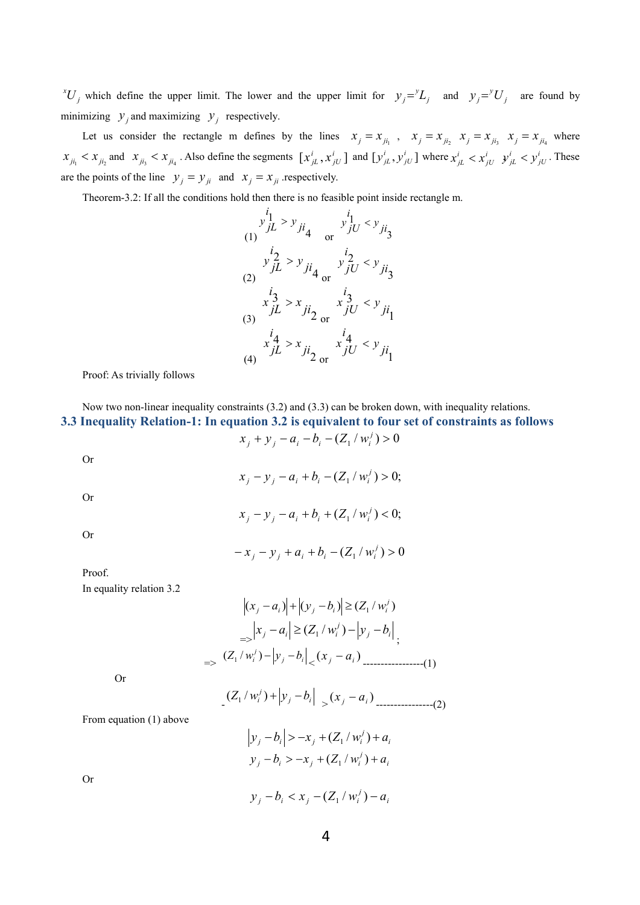*z*<sup>*V*</sup> *j* which define the upper limit. The lower and the upper limit for  $y_j = L_j$  and  $y_j = U_j$  are found by minimizing  $y_j$  and maximizing  $y_j$  respectively.

Let us consider the rectangle m defines by the lines  $x_j = x_{ji_1}$ ,  $x_j = x_{ji_2}$ ,  $x_j = x_{ji_3}$ ,  $x_j = x_{ji_4}$ , where  $x_{ji_1} < x_{ji_2}$  and  $x_{ji_3} < x_{ji_4}$ . Also define the segments  $[x_{jL}^i, x_{jU}^i]$  and  $[y_{jL}^i, y_{jU}^i]$  where  $x_{jL}^i < x_{jU}^i$ ,  $y_{jL}^i < y_{jU}^i$ . These are the points of the line  $y_j = y_{ji}$  and  $x_j = x_{ji}$  respectively. *jU* J and L*Y jL*, *Y jU* J where  $\lambda$  *<sub>jL</sub>*  $\lambda$  *jU y*  $x_{jL}^i$ ,  $x_{jU}^i$  and  $[y_{jL}^i, y_{jU}^i]$  where  $x_{jL}^i < x_{jU}^i$ ,  $y_{jL}^i < y_{jU}^i$ . These  $jU \rightarrow jL \rightarrow jU$ . These  $x_{jL}^i < x_{jU}^i$   $y_{jL}^i < y_{jU}^i$ . These

Theorem-3.2: If all the conditions hold then there is no feasible point inside rectangle m.

$$
y_{jL}^{i_1} > y_{ji_4} \t y_{jU}^{i_1} < y_{ji_3}
$$
  
\n(1)  
\n
$$
y_{jL}^{i_2} > y_{ji_4} \t y_{jU}^{i_2} < y_{ji_3}
$$
  
\n(2)  
\n
$$
x_{jL}^{i_3} > x_{ji_2} \t x_{jU}^{i_3} < y_{ji_1}
$$
  
\n(3)  
\n
$$
x_{jL}^{i_4} > x_{ji_2} \t x_{jU}^{i_4} < y_{ji_1}
$$
  
\n(4)  
\n(4)

Proof: As trivially follows

Now two non-linear inequality constraints (3.2) and (3.3) can be broken down, with inequality relations. **3.3 Inequality Relation-1: In equation 3.2 is equivalent to four set of constraints as follows**  $(x_j + y_j - a_i - b_i - (Z_1 / w_i^j) > 0$ 

Or

Or

Or

 $(x_j - y_j - a_i + b_i - (Z_1 / w_i^j) > 0;$ 

$$
x_j - y_j - a_i + b_i + (Z_1 / w_i^j) < 0;
$$

$$
-x_j - y_j + a_i + b_i - (Z_1 / w_i^j) > 0
$$

Proof.

In equality relation 3.2

( ) ( ) ( / ) 1 *j <sup>j</sup> <sup>i</sup> <sup>j</sup> b<sup>i</sup> Z w<sup>i</sup> x a y* => *j i <sup>j</sup> x <sup>j</sup> a<sup>i</sup>* (*Z*<sup>1</sup> / *w<sup>i</sup>* ) *y b* ; => *j i j <sup>i</sup>* (*<sup>Z</sup>* / *<sup>w</sup>* ) *<sup>y</sup> <sup>b</sup>* <sup>1</sup> <sup>&</sup>lt; ( ) *<sup>j</sup> <sup>i</sup> x a* -----------------(1)

Or

$$
\left| \frac{(Z_1/w_i^j) + |y_j - b_i|}{(x_j - a_i)} \right|_{-\infty} = (2)
$$

From equation (1) above

$$
|y_j - b_i| > -x_j + (Z_1/w_i^j) + a_i
$$
  
y\_j - b\_i > -x\_j + (Z\_1/w\_i^j) + a\_i

Or

*i*  $y_j - b_i < x_j - (Z_1/w_i^j) - a_i$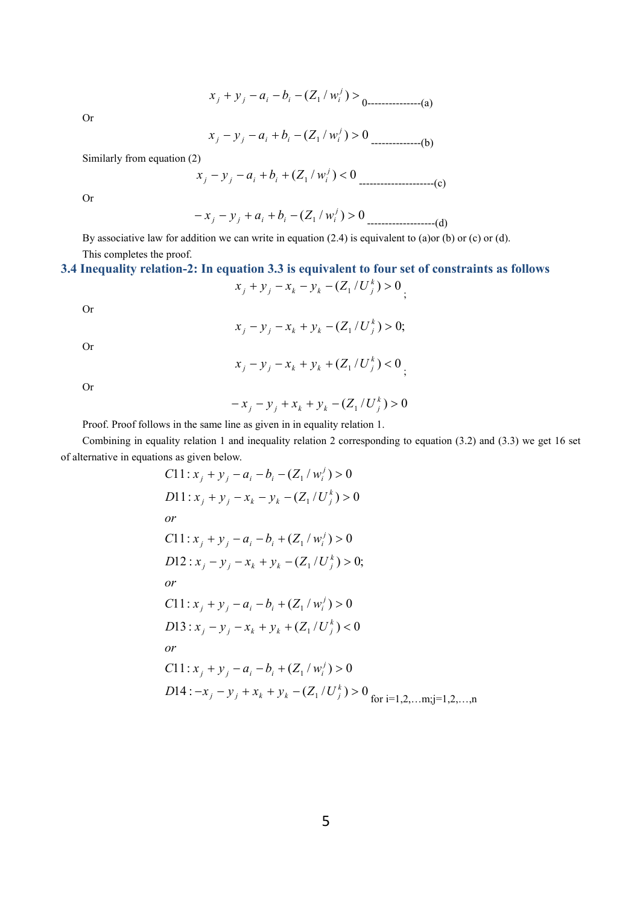$$
x_j + y_j - a_i - b_i - (Z_1 / w_i^{j}) > 0
$$

Or

$$
x_j - y_j - a_i + b_i - (Z_1 / w_i^j) > 0
$$
............(b)

Similarly from equation (2)

$$
x_j - y_j - a_i + b_i + (Z_1 / w_i') < 0 \quad \text{---} \quad (c)
$$

Or

$$
-x_j - y_j + a_i + b_i - (Z_1 / w_i') > 0
$$
 [1]

By associative law for addition we can write in equation  $(2.4)$  is equivalent to  $(a)$ or  $(b)$  or  $(c)$  or  $(d)$ . This completes the proof.

## **3.4 Inequality relation-2: In equation 3.3 is equivalent to four set of constraints as follows**

$$
x_j + y_j - x_k - y_k - (Z_1/U_j^k) > 0
$$

Or

$$
x_j - y_j - x_k + y_k - (Z_1/U_j^k) > 0;
$$

Or

$$
x_j - y_j - x_k + y_k + (Z_1/U_j^k) < 0
$$

Or

$$
-x_j - y_j + x_k + y_k - (Z_1 / U_j^k) > 0
$$

Proof. Proof follows in the same line as given in in equality relation 1.

Combining in equality relation 1 and inequality relation 2 corresponding to equation (3.2) and (3.3) we get 16 set of alternative in equations as given below.

C11: 
$$
x_j + y_j - a_i - b_i - (Z_1/w_i^j) > 0
$$
  
\nD11:  $x_j + y_j - x_k - y_k - (Z_1/U_j^k) > 0$   
\nor  
\nC11:  $x_j + y_j - a_i - b_i + (Z_1/w_i^j) > 0$   
\nD12:  $x_j - y_j - x_k + y_k - (Z_1/U_j^k) > 0$ ;  
\nor  
\nC11:  $x_j + y_j - a_i - b_i + (Z_1/w_i^j) > 0$   
\nD13:  $x_j - y_j - x_k + y_k + (Z_1/U_j^k) < 0$   
\nor  
\nC11:  $x_j + y_j - a_i - b_i + (Z_1/w_i^j) > 0$   
\nD14:  $-x_j - y_j + x_k + y_k - (Z_1/U_j^k) > 0$  for i=1,2,...m; j=1,2,...,n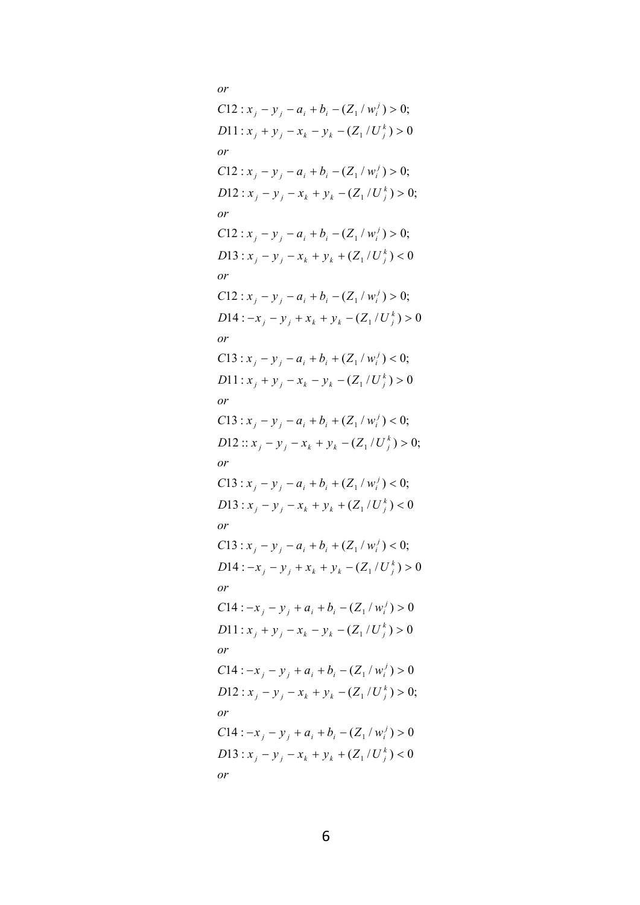*or*  $D$ **13**:  $x_i - y_i - x_k + y_k + (Z_1/U_i^k) < 0$  $C14: -x_i - y_i + a_i + b_i - (Z_1/w_i^j) > 0$ *or*  $D12: x_j - y_j - x_k + y_k - (Z_1/U_j^k) > 0;$  $C14: -x_i - y_i + a_i + b_i - (Z_1/w_i^j) > 0$ *or*  $D\{1: x_j + y_j - x_k - y_k - (Z_1/U_j^k) > 0\}$  $C14: -x_i - y_i + a_i + b_i - (Z_1/w_i^j) > 0$ *or*  $D14: -x_j - y_j + x_k + y_k - (Z_1/U_j^k) > 0$  $C13: x_i - y_i - a_i + b_i + (Z_1/w_i^j) < 0;$ *or D*13 :  $x_j - y_j - x_k + y_k + (Z_1/U_j^k) < 0$  $C13: x_j - y_j - a_i + b_i + (Z_1/w_i^j) < 0;$ *or D*12 ::  $x_j - y_j - x_k + y_k - (Z_1/U_j^k) > 0$ ;<br> *or*<br> *C*13 :  $x_j - y_j - a_i + b_i + (Z_1/w_i^j) < 0$ ;  $C13: x_j - y_j - a_i + b_i + (Z_1/w_i^j) < 0;$ *or D*11:  $x_j + y_j - x_k - y_k - (Z_1/U_j^k) > 0$ <br> *or*<br> *C*13:  $x_j - y_j - a_i + b_i + (Z_1/w_i^j) < 0$ ;  $C13: x_j - y_j - a_i + b_i + (Z_1/w_i^j) < 0;$ *or D*14 :  $-x_j - y_j + x_k + y_k - (Z_1/U_j^k) > 0$ <br> *or*<br> *C*13 :  $x_j - y_j - a_i + b_i + (Z_1/w_i^j) < 0$ ;  $C12: x_i - y_i - a_i + b_i - (Z_1/w_i^j) > 0;$ *or D*13 :  $x_j - y_j - x_k + y_k + (Z_1/U_j^k) < 0$  $C12: x_i - y_i - a_i + b_i - (Z_1/w_i^j) > 0;$ *or*  $D12: x_j - y_j - x_k + y_k - (Z_1/U_j^k) > 0;$  $C12: x_j - y_j - a_i + b_i - (Z_1/w_i^j) > 0;$ *or D*11:  $x_j + y_j - x_k - y_k - (Z_1/U_j^k) > 0$ <br> *or*<br> *C*12:  $x_j - y_j - a_i + b_i - (Z_1/w_i^j) > 0$ ;  $C12: x_i - y_i - a_i + b_i - (Z_1/w_i^j) > 0;$ *or*  $y_j - y_j - x_k + y_k + (Z_1/U_j^k) < 0$  $y_1$  **j**  $y_j - x_k + y_k - (Z_1 / U_j^k) > 0;$ <br> *r*<br>  $y_j + a_j + b_j - (Z_1 / w_j^j) > 0$ *j*  $y_j$  +  $y_j$  -  $x_k$  -  $y_k$  -  $(Z_1/U_j^k)$  > 0<br> *r*<br>
14 :  $-x_j$  -  $y_j$  +  $a_i$  +  $b_i$  -  $(Z_1/w_i^j)$  > 0 *j*  $y_j + x_k + y_k - (Z_1/U_j^k) > 0$ <br> *r*<br>  $y_j + a_j + b_j - (Z_1/w_j^j) > 0$  $y_j$  *i*  $y_j$  *j*  $-x_k$  +  $y_k$  +  $(Z_1/U_j^k)$  < 0;<br>  $y_j$  **i**  $y_j$  *j*  $-a_i$  +  $b_i$  +  $(Z_1/w_i^j)$  < 0;  $j$  **12**:  $x_j - y_j - x_k + y_k - (Z_1/U_j^k) > 0;$  $y_j - x_k - y_k - (Z_1/U_j^k) > 0$  $2(14: -x_j - y_j + x_k + y_k - (Z_1/U_j^k) > 0$ *j*  $y_j - x_k + y_k + (Z_1/U_j^k) < 0$ <br> *r*<br> *j*  $y_j - a_i + b_i - (Z_1/w_i^j) > 0$ ;  $y_1$  **j**  $y_j - x_k + y_k - (Z_1/U_j^k) > 0;$ <br> *r*<br>  $y_j - x_i + b_i - (Z_1/w_i^j) > 0;$  $y_j - x_k - y_k - (Z_1/U_j^k) > 0$  $f(12: x_j - y_j - a_i + b_i - (Z_1/w_i^j) > 0;$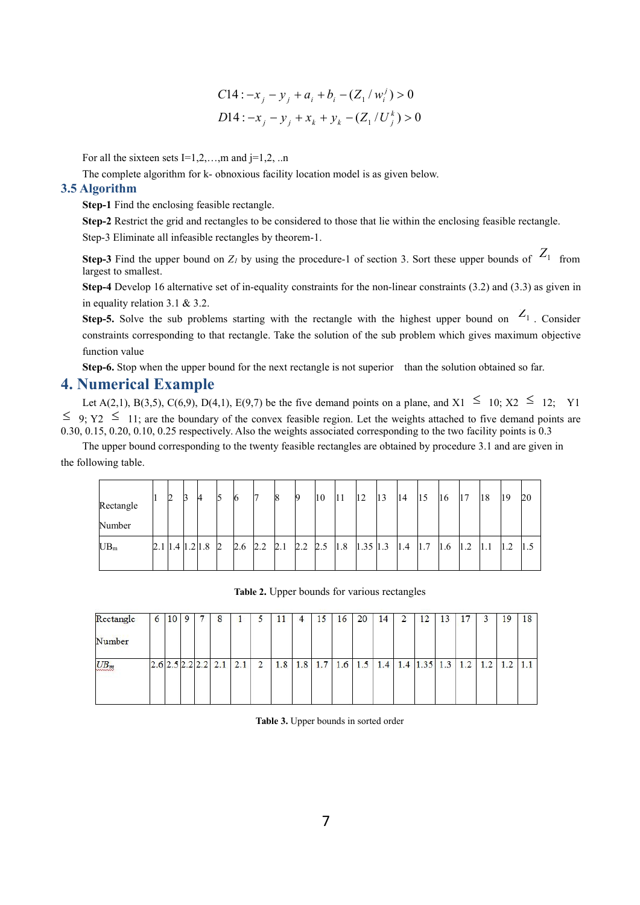C14: 
$$
-x_j - y_j + a_i + b_i - (Z_1/w_i^j) > 0
$$
  
D14:  $-x_j - y_j + x_k + y_k - (Z_1/U_j^k) > 0$ 

For all the sixteen sets  $I=1,2,...,m$  and  $j=1,2,...n$ 

The complete algorithm for k- obnoxious facility location model is as given below.

### **3.5 Algorithm**

**Step-1** Find the enclosing feasible rectangle.

**Step-2** Restrict the grid and rectangles to be considered to those that lie within the enclosing feasible rectangle. Step-3 Eliminate all infeasible rectangles by theorem-1.

**Step-3** Find the upper bound on  $Z_i$  by using the procedure-1 of section 3. Sort these upper bounds of  $Z_1$  from largest to smallest.

**Step-4** Develop 16 alternative set of in-equality constraints for the non-linear constraints (3.2) and (3.3) as given in in equality relation 3.1 & 3.2.

**Step-5.** Solve the sub problems starting with the rectangle with the highest upper bound on  $Z_1$ . Consider constraints corresponding to that rectangle. Take the solution of the sub problem which gives maximum objective function value

**Step-6.** Stop when the upper bound for the next rectangle is not superior than the solution obtained so far.

## **4. Numerical Example**

Let A(2,1), B(3,5), C(6,9), D(4,1), E(9,7) be the five demand points on a plane, and X1  $\leq$  10; X2  $\leq$  12; Y1  $\leq$  9; Y2  $\leq$  11; are the boundary of the convex feasible region. Let the weights attached to five demand points are 0.30, 0.15, 0.20, 0.10, 0.25 respectively. Also the weights associated corresponding to the two facility points is 0.3

The upper bound corresponding to the twenty feasible rectangles are obtained by procedure 3.1 and are given in the following table.

| Rectangle       | 12 | 13 | 14                    | 15        | 16  | I               | 18 |     | 10  | 11  | $ 12\rangle$ | 13 | 14  | 15  | $ 16\rangle$  | 17  | $ 18\rangle$ | 19  | 20  |
|-----------------|----|----|-----------------------|-----------|-----|-----------------|----|-----|-----|-----|--------------|----|-----|-----|---------------|-----|--------------|-----|-----|
| Number          |    |    |                       |           |     |                 |    |     |     |     |              |    |     |     |               |     |              |     |     |
| UB <sub>m</sub> |    |    | 2.1   1.4   1.2   1.8 | $\vert$ 2 | 2.6 | $2.2 \quad 2.1$ |    | 2.2 | 2.5 | 1.8 | $1.35$  1.3  |    | 1.4 | 1.7 | $ 1.6\rangle$ | 1.2 | 1.1          | 1.2 | 1.5 |
|                 |    |    |                       |           |     |                 |    |     |     |     |              |    |     |     |               |     |              |     |     |

**Table 2.** Upper bounds for various rectangles

| Rectangle | 6 | 10 | 9 | 8                             |     |                |     |     | 15  | 16  | 20  | 14  | $\overline{2}$ | 12         | 13  | 17  |     | 19  | 18 |
|-----------|---|----|---|-------------------------------|-----|----------------|-----|-----|-----|-----|-----|-----|----------------|------------|-----|-----|-----|-----|----|
| Number    |   |    |   |                               |     |                |     |     |     |     |     |     |                |            |     |     |     |     |    |
| $UB_m$    |   |    |   | $2.6$ $2.5$ $2.2$ $2.2$ $2.1$ | 2.1 | $\overline{2}$ | 1.8 | 1.8 | 1.7 | 1.6 | 1.5 | 1.4 |                | $1.4$ 1.35 | 1.3 | 1.2 | 1.2 | 1.2 |    |

**Table 3.** Upper bounds in sorted order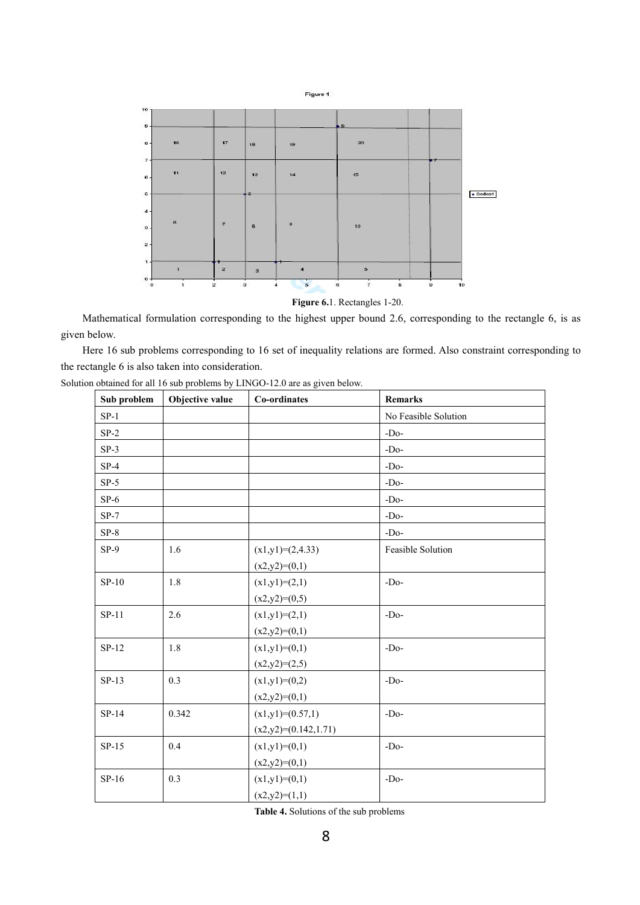

Mathematical formulation corresponding to the highest upper bound 2.6, corresponding to the rectangle 6, is as given below.

Here 16 sub problems corresponding to 16 set of inequality relations are formed. Also constraint corresponding to the rectangle 6 is also taken into consideration.

| Sub problem | Objective value | Co-ordinates           | <b>Remarks</b>       |
|-------------|-----------------|------------------------|----------------------|
| $SP-1$      |                 |                        | No Feasible Solution |
| $SP-2$      |                 |                        | $-Do-$               |
| $SP-3$      |                 |                        | $-Do-$               |
| $SP-4$      |                 |                        | $-Do-$               |
| $SP-5$      |                 |                        | $-Do-$               |
| $SP-6$      |                 |                        | $-Do-$               |
| $SP-7$      |                 |                        | $-Do-$               |
| $SP-8$      |                 |                        | $-Do-$               |
| $SP-9$      | 1.6             | $(x1,y1)=(2,4.33)$     | Feasible Solution    |
|             |                 | $(x2,y2)=(0,1)$        |                      |
| $SP-10$     | 1.8             | $(x1,y1)=(2,1)$        | $-Do-$               |
|             |                 | $(x2,y2)=(0,5)$        |                      |
| $SP-11$     | 2.6             | $(x1,y1)=(2,1)$        | $-Do-$               |
|             |                 | $(x2,y2)=(0,1)$        |                      |
| $SP-12$     | 1.8             | $(x1,y1)=(0,1)$        | $-Do-$               |
|             |                 | $(x2,y2)=(2,5)$        |                      |
| $SP-13$     | 0.3             | $(x1,y1)=(0,2)$        | $-Do-$               |
|             |                 | $(x2,y2)=(0,1)$        |                      |
| $SP-14$     | 0.342           | $(x1,y1)=(0.57,1)$     | $-Do-$               |
|             |                 | $(x2,y2)=(0.142,1.71)$ |                      |
| $SP-15$     | 0.4             | $(x1,y1)=(0,1)$        | $-Do-$               |
|             |                 | $(x2,y2)=(0,1)$        |                      |
| $SP-16$     | 0.3             | $(x1,y1)=(0,1)$        | $-Do-$               |
|             |                 | $(x2,y2)=(1,1)$        |                      |

Solution obtained for all 16 sub problems by LINGO-12.0 are as given below.

Table 4. Solutions of the sub problems